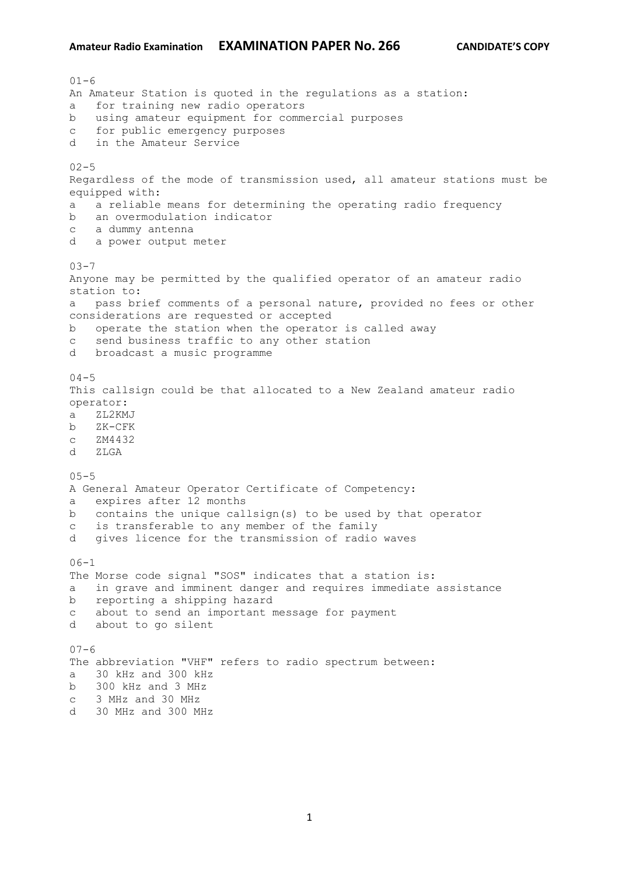```
01 - 6An Amateur Station is quoted in the regulations as a station:
a for training new radio operators
b using amateur equipment for commercial purposes
c for public emergency purposes
d in the Amateur Service
02 - 5Regardless of the mode of transmission used, all amateur stations must be 
equipped with:
a a reliable means for determining the operating radio frequency
b an overmodulation indicator
c a dummy antenna
d a power output meter
03 - 7Anyone may be permitted by the qualified operator of an amateur radio 
station to:
a pass brief comments of a personal nature, provided no fees or other 
considerations are requested or accepted
b operate the station when the operator is called away
c send business traffic to any other station
d broadcast a music programme
04 - 5This callsign could be that allocated to a New Zealand amateur radio 
operator:
a ZL2KMJ
b ZK-CFK
c ZM4432
d ZLGA
05 - 5A General Amateur Operator Certificate of Competency:
a expires after 12 months
b contains the unique callsign(s) to be used by that operator
c is transferable to any member of the family
d gives licence for the transmission of radio waves
06-1The Morse code signal "SOS" indicates that a station is:
a in grave and imminent danger and requires immediate assistance
b reporting a shipping hazard
c about to send an important message for payment
d about to go silent
07 - 6The abbreviation "VHF" refers to radio spectrum between:
a 30 kHz and 300 kHz
b 300 kHz and 3 MHz
c 3 MHz and 30 MHz
```
d 30 MHz and 300 MHz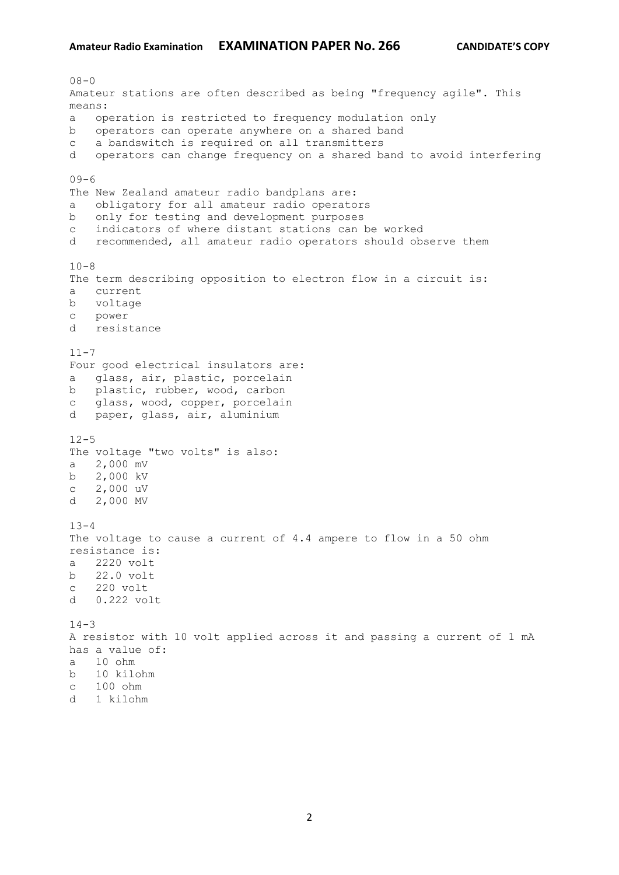$08 - 0$ Amateur stations are often described as being "frequency agile". This means: a operation is restricted to frequency modulation only b operators can operate anywhere on a shared band c a bandswitch is required on all transmitters d operators can change frequency on a shared band to avoid interfering  $09-6$ The New Zealand amateur radio bandplans are: a obligatory for all amateur radio operators b only for testing and development purposes c indicators of where distant stations can be worked d recommended, all amateur radio operators should observe them  $10-8$ The term describing opposition to electron flow in a circuit is: a current b voltage c power d resistance  $11 - 7$ Four good electrical insulators are: a glass, air, plastic, porcelain b plastic, rubber, wood, carbon c glass, wood, copper, porcelain d paper, glass, air, aluminium  $12 - 5$ The voltage "two volts" is also: a 2,000 mV b 2,000 kV c 2,000 uV d 2,000 MV  $13 - 4$ The voltage to cause a current of 4.4 ampere to flow in a 50 ohm resistance is: a 2220 volt b 22.0 volt c 220 volt d 0.222 volt  $14 - 3$ A resistor with 10 volt applied across it and passing a current of 1 mA has a value of: a 10 ohm b 10 kilohm c 100 ohm d 1 kilohm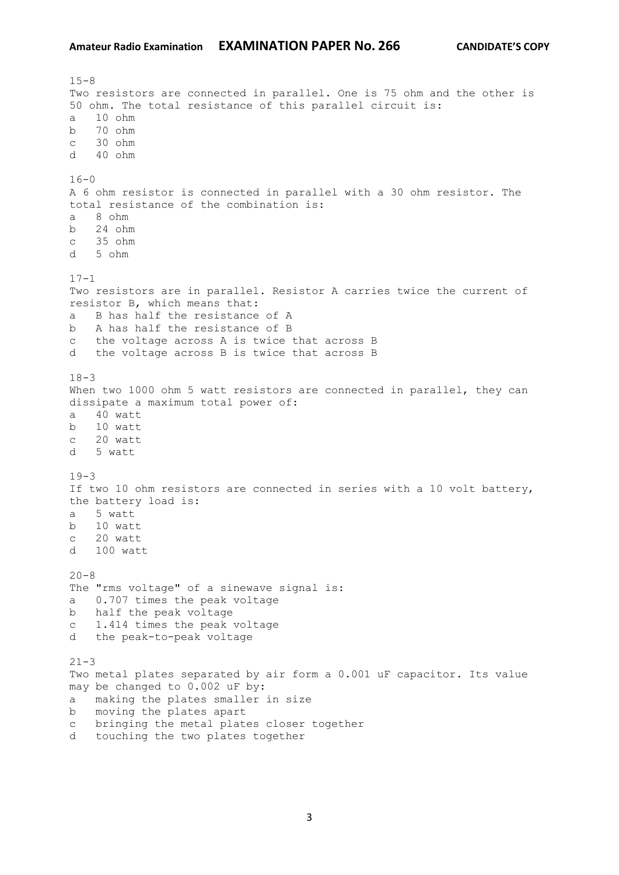$15 - 8$ Two resistors are connected in parallel. One is 75 ohm and the other is 50 ohm. The total resistance of this parallel circuit is: a 10 ohm b 70 ohm c 30 ohm d 40 ohm  $16 - 0$ A 6 ohm resistor is connected in parallel with a 30 ohm resistor. The total resistance of the combination is: a 8 ohm b 24 ohm c 35 ohm d 5 ohm  $17 - 1$ Two resistors are in parallel. Resistor A carries twice the current of resistor B, which means that: a B has half the resistance of A b A has half the resistance of B c the voltage across A is twice that across B d the voltage across B is twice that across B  $18 - 3$ When two 1000 ohm 5 watt resistors are connected in parallel, they can dissipate a maximum total power of: a 40 watt b 10 watt c 20 watt d 5 watt  $19-3$ If two 10 ohm resistors are connected in series with a 10 volt battery, the battery load is: a 5 watt b 10 watt c 20 watt d 100 watt  $20 - 8$ The "rms voltage" of a sinewave signal is: a 0.707 times the peak voltage b half the peak voltage c 1.414 times the peak voltage d the peak-to-peak voltage  $21 - 3$ Two metal plates separated by air form a 0.001 uF capacitor. Its value may be changed to 0.002 uF by: a making the plates smaller in size b moving the plates apart c bringing the metal plates closer together d touching the two plates together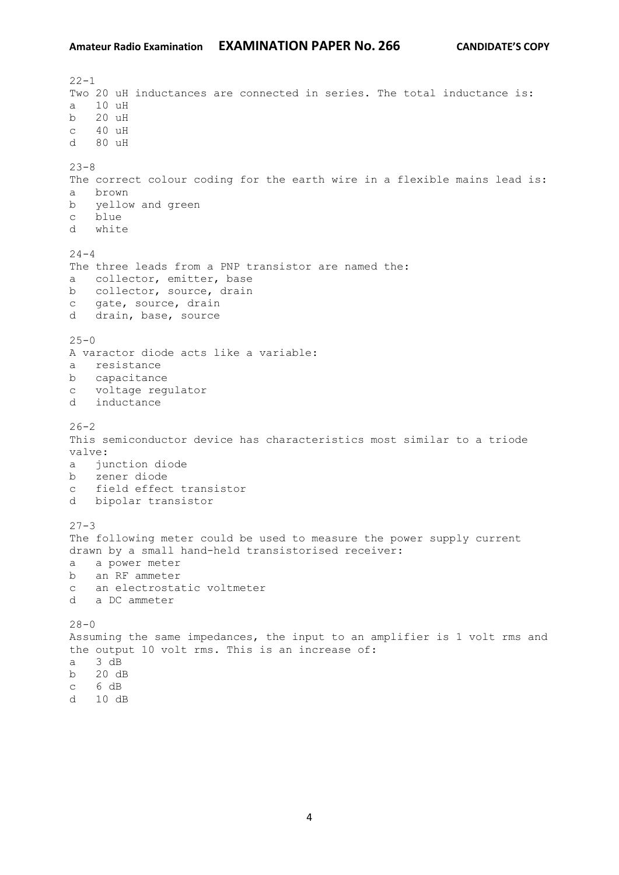$22 - 1$ Two 20 uH inductances are connected in series. The total inductance is: a 10 uH b 20 uH c 40 uH d 80 uH  $23 - 8$ The correct colour coding for the earth wire in a flexible mains lead is: a brown b yellow and green c blue d white  $24 - 4$ The three leads from a PNP transistor are named the: a collector, emitter, base b collector, source, drain c gate, source, drain d drain, base, source  $25 - 0$ A varactor diode acts like a variable: a resistance b capacitance c voltage regulator d inductance  $26 - 2$ This semiconductor device has characteristics most similar to a triode valve: a junction diode b zener diode c field effect transistor d bipolar transistor  $27 - 3$ The following meter could be used to measure the power supply current drawn by a small hand-held transistorised receiver: a a power meter b an RF ammeter c an electrostatic voltmeter d a DC ammeter  $28 - 0$ Assuming the same impedances, the input to an amplifier is 1 volt rms and the output 10 volt rms. This is an increase of: a 3 dB b 20 dB c 6 dB d 10 dB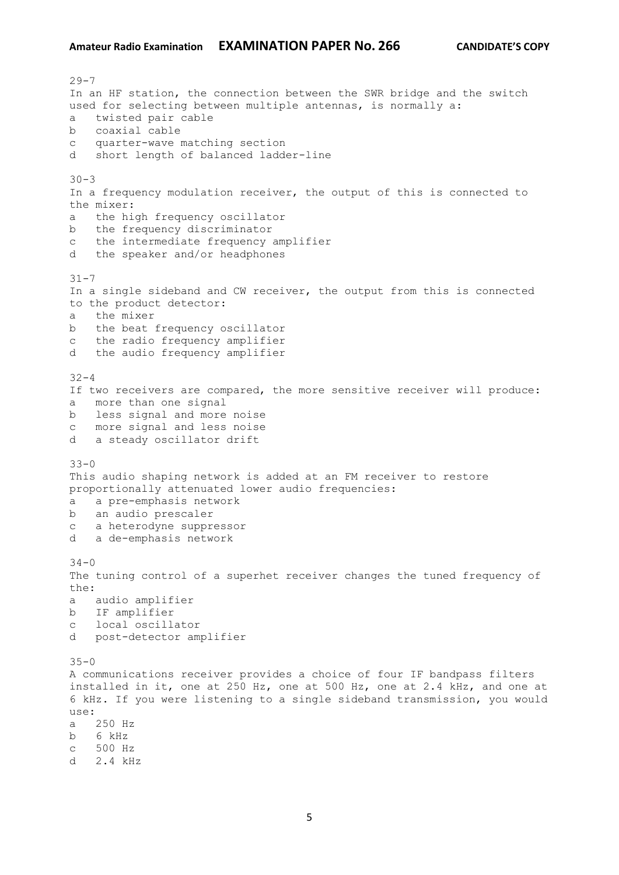$29 - 7$ In an HF station, the connection between the SWR bridge and the switch used for selecting between multiple antennas, is normally a: a twisted pair cable b coaxial cable c quarter-wave matching section d short length of balanced ladder-line  $30 - 3$ In a frequency modulation receiver, the output of this is connected to the mixer: a the high frequency oscillator b the frequency discriminator c the intermediate frequency amplifier d the speaker and/or headphones  $31 - 7$ In a single sideband and CW receiver, the output from this is connected to the product detector: a the mixer b the beat frequency oscillator c the radio frequency amplifier d the audio frequency amplifier  $32 - 4$ If two receivers are compared, the more sensitive receiver will produce: a more than one signal b less signal and more noise c more signal and less noise d a steady oscillator drift  $33 - 0$ This audio shaping network is added at an FM receiver to restore proportionally attenuated lower audio frequencies: a a pre-emphasis network b an audio prescaler c a heterodyne suppressor d a de-emphasis network  $34 - 0$ The tuning control of a superhet receiver changes the tuned frequency of the: a audio amplifier b IF amplifier c local oscillator d post-detector amplifier  $35 - 0$ A communications receiver provides a choice of four IF bandpass filters installed in it, one at 250 Hz, one at 500 Hz, one at 2.4 kHz, and one at 6 kHz. If you were listening to a single sideband transmission, you would use: a 250 Hz b 6 kHz c 500 Hz d 2.4 kHz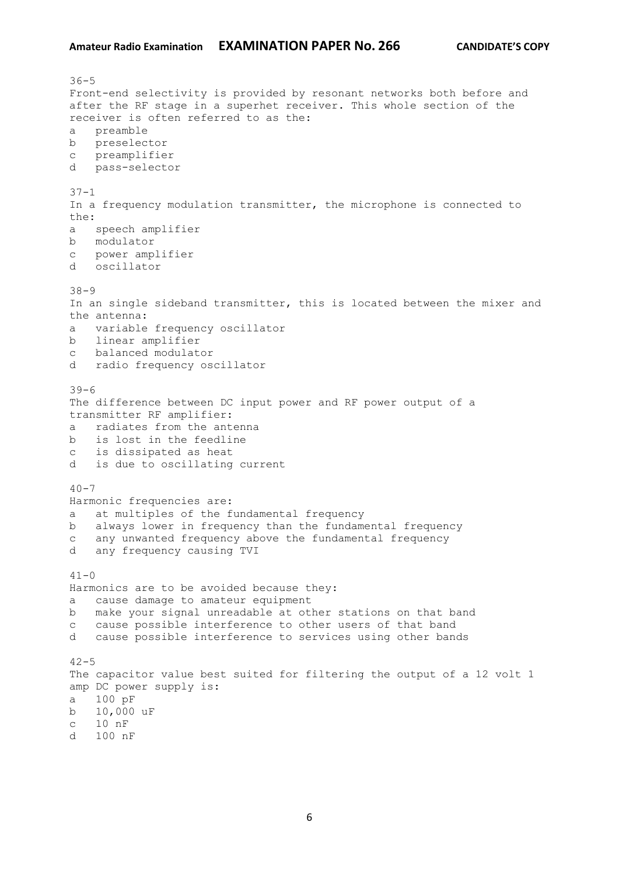$36 - 5$ Front-end selectivity is provided by resonant networks both before and after the RF stage in a superhet receiver. This whole section of the receiver is often referred to as the: a preamble b preselector c preamplifier d pass-selector 37-1 In a frequency modulation transmitter, the microphone is connected to the: a speech amplifier b modulator c power amplifier d oscillator 38-9 In an single sideband transmitter, this is located between the mixer and the antenna: a variable frequency oscillator b linear amplifier c balanced modulator d radio frequency oscillator 39-6 The difference between DC input power and RF power output of a transmitter RF amplifier: a radiates from the antenna b is lost in the feedline c is dissipated as heat d is due to oscillating current  $40 - 7$ Harmonic frequencies are: a at multiples of the fundamental frequency b always lower in frequency than the fundamental frequency c any unwanted frequency above the fundamental frequency d any frequency causing TVI  $41 - 0$ Harmonics are to be avoided because they: a cause damage to amateur equipment b make your signal unreadable at other stations on that band c cause possible interference to other users of that band d cause possible interference to services using other bands  $42 - 5$ The capacitor value best suited for filtering the output of a 12 volt 1 amp DC power supply is: a 100 pF b 10,000 uF c 10 nF d 100 nF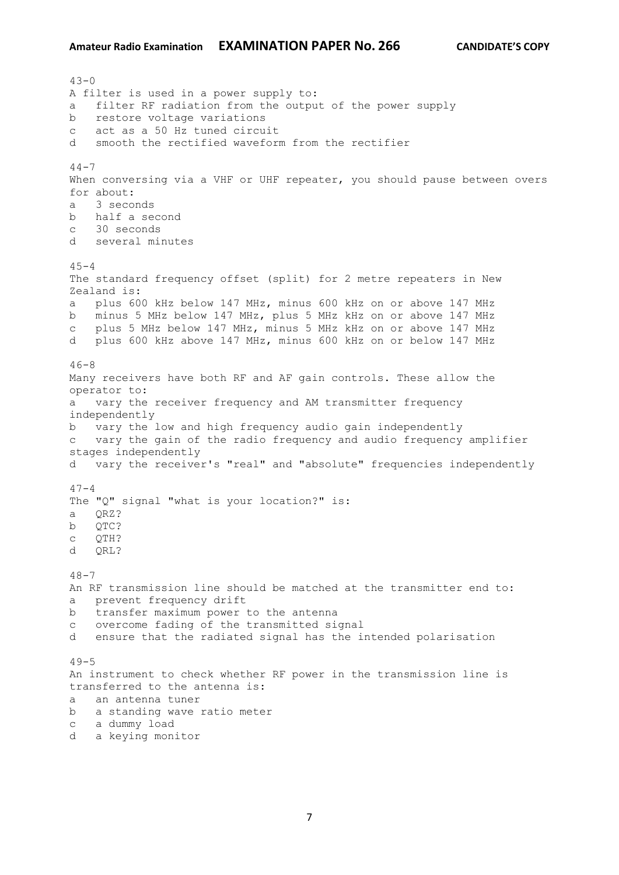$43 - 0$ A filter is used in a power supply to: a filter RF radiation from the output of the power supply b restore voltage variations c act as a 50 Hz tuned circuit d smooth the rectified waveform from the rectifier  $44 - 7$ When conversing via a VHF or UHF repeater, you should pause between overs for about: a 3 seconds b half a second c 30 seconds d several minutes  $45 - 4$ The standard frequency offset (split) for 2 metre repeaters in New Zealand is: a plus 600 kHz below 147 MHz, minus 600 kHz on or above 147 MHz b minus 5 MHz below 147 MHz, plus 5 MHz kHz on or above 147 MHz c plus 5 MHz below 147 MHz, minus 5 MHz kHz on or above 147 MHz d plus 600 kHz above 147 MHz, minus 600 kHz on or below 147 MHz  $46 - 8$ Many receivers have both RF and AF gain controls. These allow the operator to: a vary the receiver frequency and AM transmitter frequency independently b vary the low and high frequency audio gain independently c vary the gain of the radio frequency and audio frequency amplifier stages independently d vary the receiver's "real" and "absolute" frequencies independently  $47 - 4$ The "Q" signal "what is your location?" is: a QRZ? b QTC? c QTH? d QRL?  $48 - 7$ An RF transmission line should be matched at the transmitter end to: a prevent frequency drift b transfer maximum power to the antenna c overcome fading of the transmitted signal d ensure that the radiated signal has the intended polarisation  $49 - 5$ An instrument to check whether RF power in the transmission line is transferred to the antenna is: a an antenna tuner b a standing wave ratio meter c a dummy load d a keying monitor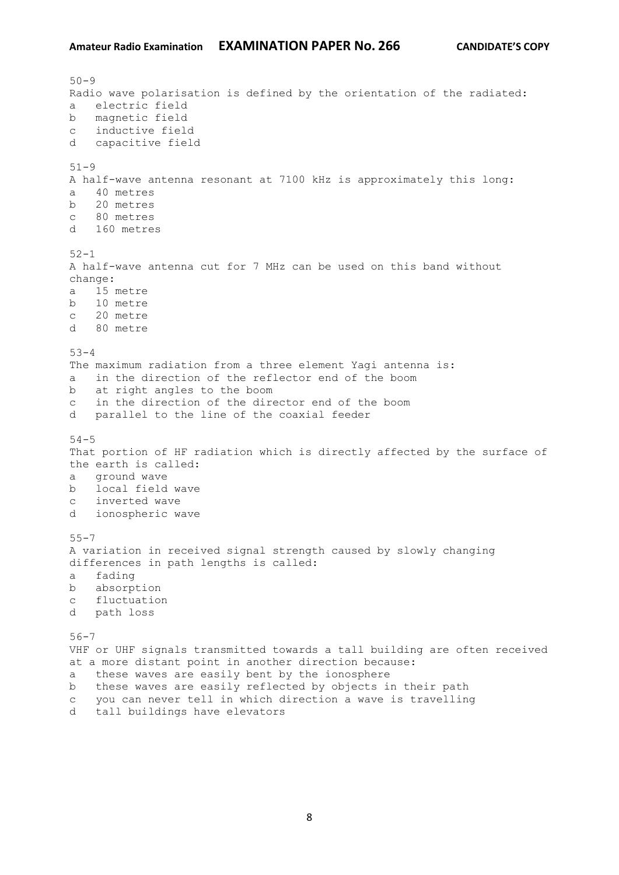```
50 - 9Radio wave polarisation is defined by the orientation of the radiated:
a electric field
b magnetic field
c inductive field
d capacitive field
51-9
A half-wave antenna resonant at 7100 kHz is approximately this long:
a 40 metres
b 20 metres
c 80 metres
d 160 metres
52 - 1A half-wave antenna cut for 7 MHz can be used on this band without 
change:
a 15 metre
b 10 metre
c 20 metre
d 80 metre
53 - 4The maximum radiation from a three element Yagi antenna is:
a in the direction of the reflector end of the boom
b at right angles to the boom
c in the direction of the director end of the boom
d parallel to the line of the coaxial feeder
54 - 5That portion of HF radiation which is directly affected by the surface of 
the earth is called:
a ground wave
b local field wave
c inverted wave
d ionospheric wave
55 - 7A variation in received signal strength caused by slowly changing 
differences in path lengths is called:
a fading
b absorption
c fluctuation
d path loss
56-7
VHF or UHF signals transmitted towards a tall building are often received 
at a more distant point in another direction because:
a these waves are easily bent by the ionosphere
b these waves are easily reflected by objects in their path
c you can never tell in which direction a wave is travelling
d tall buildings have elevators
```